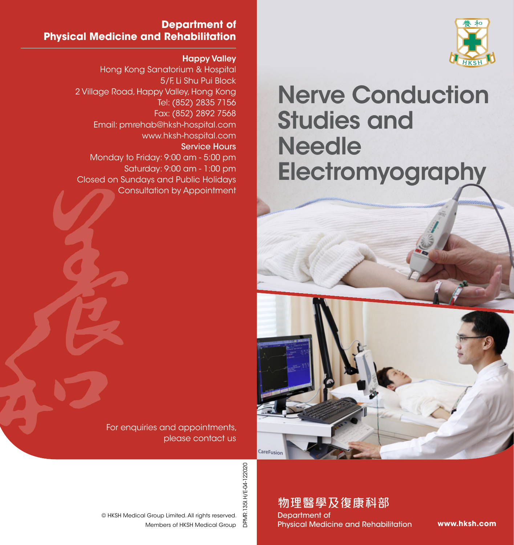

# Nerve Conduction Studies and **Needle Electromyography**

#### **Department of Physical Medicine and Rehabilitation**

Happy Valley

Hong Kong Sanatorium & Hospital 5/F, Li Shu Pui Block 2 Village Road, Happy Valley, Hong Kong Tel: (852) 2835 7156 Fax: (852) 2892 7568 Email: pmrehab@hksh-hospital.com www.hksh-hospital.com Service Hours Monday to Friday: 9:00 am - 5:00 pm Saturday: 9:00 am - 1:00 pm Closed on Sundays and Public Holidays Consultation by Appointment

> For enquiries and appointments, please contact us

> > DPMR.135I.H/E-04-122020 DPMR.135I.H/E-04-122020

CareFusion

Members of HKSH Medical Group © HKSH Medical Group Limited. All rights reserved.

## 物理醫學及復康科部

Department of Physical Medicine and Rehabilitation

**www.hksh.com**